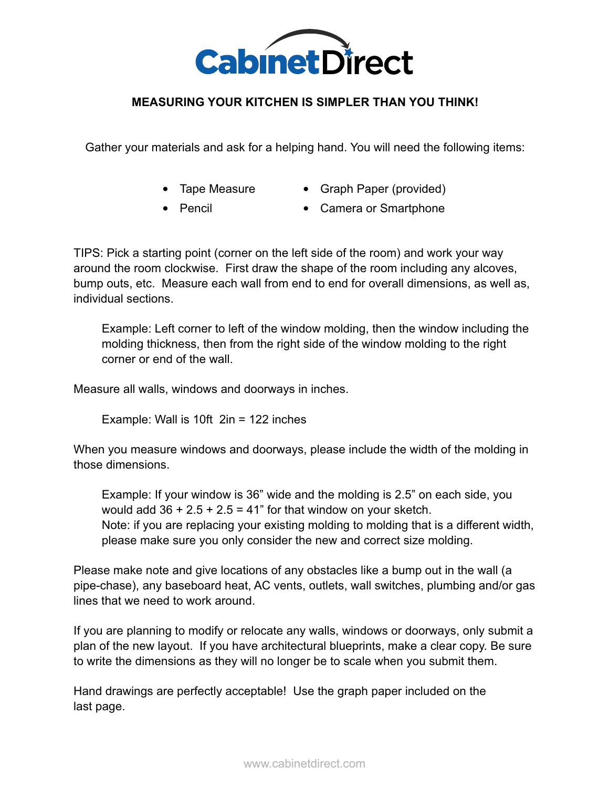

## **MEASURING YOUR KITCHEN IS SIMPLER THAN YOU THINK!**

Gather your materials and ask for a helping hand. You will need the following items:

- Tape Measure
- Graph Paper (provided)
- Pencil
- Camera or Smartphone

TIPS: Pick a starting point (corner on the left side of the room) and work your way around the room clockwise. First draw the shape of the room including any alcoves, bump outs, etc. Measure each wall from end to end for overall dimensions, as well as, individual sections.

Example: Left corner to left of the window molding, then the window including the molding thickness, then from the right side of the window molding to the right corner or end of the wall.

Measure all walls, windows and doorways in inches.

Example: Wall is 10ft 2in = 122 inches

When you measure windows and doorways, please include the width of the molding in those dimensions.

Example: If your window is 36" wide and the molding is 2.5" on each side, you would add  $36 + 2.5 + 2.5 = 41$ " for that window on your sketch. Note: if you are replacing your existing molding to molding that is a different width, please make sure you only consider the new and correct size molding.

Please make note and give locations of any obstacles like a bump out in the wall (a pipe-chase), any baseboard heat, AC vents, outlets, wall switches, plumbing and/or gas lines that we need to work around.

If you are planning to modify or relocate any walls, windows or doorways, only submit a plan of the new layout. If you have architectural blueprints, make a clear copy. Be sure to write the dimensions as they will no longer be to scale when you submit them.

Hand drawings are perfectly acceptable! Use the graph paper included on the last page.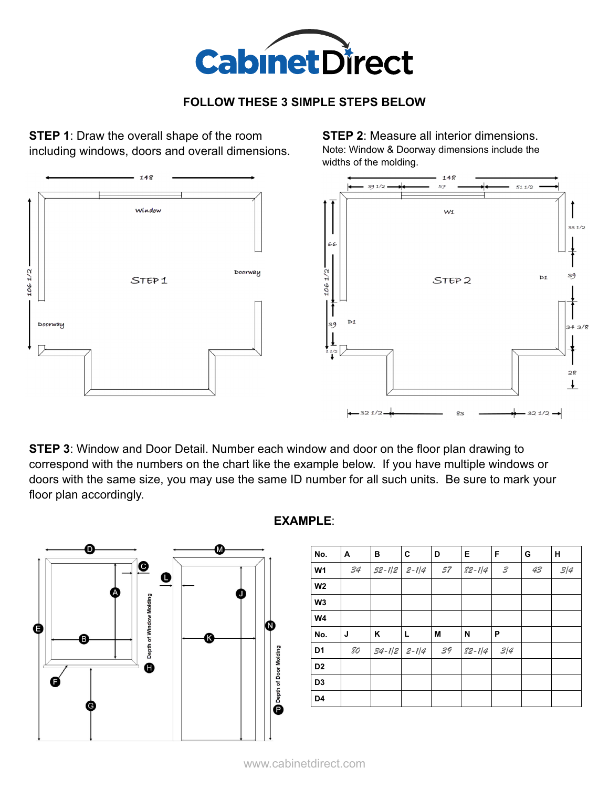

## **FOLLOW THESE 3 SIMPLE STEPS BELOW**

**STEP 1:** Draw the overall shape of the room including windows, doors and overall dimensions.

**STEP 2:** Measure all interior dimensions. Note: Window & Doorway dimensions include the widths of the molding.



**STEP 3**: Window and Door Detail. Number each window and door on the floor plan drawing to correspond with the numbers on the chart like the example below. If you have multiple windows or doors with the same size, you may use the same ID number for all such units. Be sure to mark your floor plan accordingly.



**EXAMPLE**:

| No.            | A  | в          | C         | D  | Е          | F               | G  | н   |
|----------------|----|------------|-----------|----|------------|-----------------|----|-----|
| <b>W1</b>      | 34 | $52 - 1/2$ | $2 - 1/4$ | 57 | $82 - 1/4$ | ${\mathcal{S}}$ | 43 | 3/4 |
| W <sub>2</sub> |    |            |           |    |            |                 |    |     |
| W <sub>3</sub> |    |            |           |    |            |                 |    |     |
| W4             |    |            |           |    |            |                 |    |     |
| No.            | J  | Κ          | L         | M  | N          | P               |    |     |
| D <sub>1</sub> | 80 | $34 - 1/2$ | $2 - 1/4$ | 39 | $82 - 114$ | 3/4             |    |     |
| D <sub>2</sub> |    |            |           |    |            |                 |    |     |
| D <sub>3</sub> |    |            |           |    |            |                 |    |     |
| D4             |    |            |           |    |            |                 |    |     |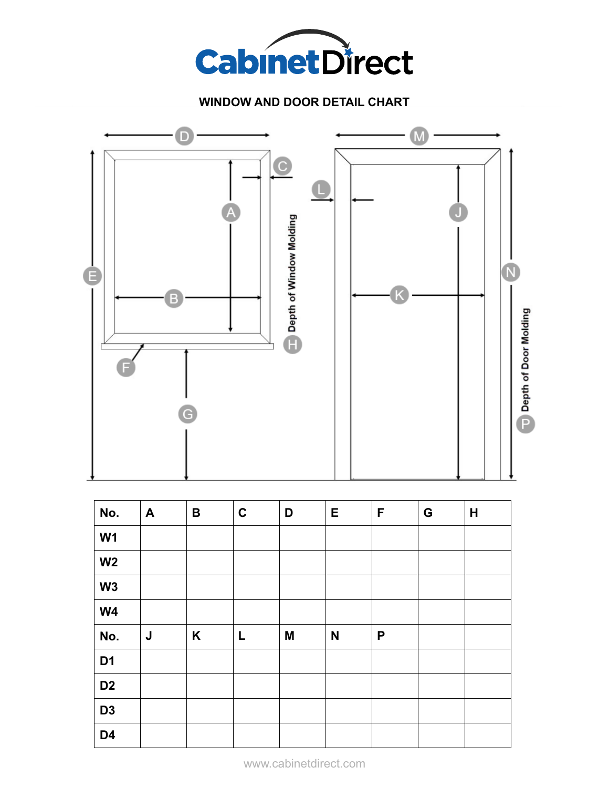

## **WINDOW AND DOOR DETAIL CHART**



| No.            | $\mathbf{A}$ | $\, {\bf B}$ | $\mathbf C$ | D | E            | F | G | H |
|----------------|--------------|--------------|-------------|---|--------------|---|---|---|
| W <sub>1</sub> |              |              |             |   |              |   |   |   |
| W <sub>2</sub> |              |              |             |   |              |   |   |   |
| W3             |              |              |             |   |              |   |   |   |
| W <sub>4</sub> |              |              |             |   |              |   |   |   |
| No.            | J            | K            | L           | M | $\mathsf{N}$ | P |   |   |
| D <sub>1</sub> |              |              |             |   |              |   |   |   |
| D <sub>2</sub> |              |              |             |   |              |   |   |   |
| D <sub>3</sub> |              |              |             |   |              |   |   |   |
| D <sub>4</sub> |              |              |             |   |              |   |   |   |

www.cabinetdirect.com